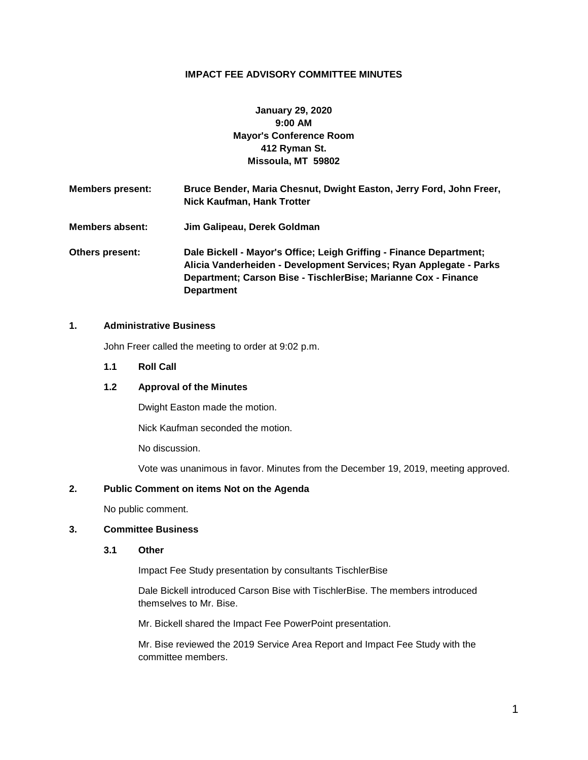## **IMPACT FEE ADVISORY COMMITTEE MINUTES**

# **January 29, 2020 9:00 AM Mayor's Conference Room 412 Ryman St. Missoula, MT 59802**

**Members present: Bruce Bender, Maria Chesnut, Dwight Easton, Jerry Ford, John Freer, Nick Kaufman, Hank Trotter Members absent: Jim Galipeau, Derek Goldman Others present: Dale Bickell - Mayor's Office; Leigh Griffing - Finance Department; Alicia Vanderheiden - Development Services; Ryan Applegate - Parks Department; Carson Bise - TischlerBise; Marianne Cox - Finance** 

### **1. Administrative Business**

John Freer called the meeting to order at 9:02 p.m.

**Department**

**1.1 Roll Call**

### **1.2 Approval of the Minutes**

Dwight Easton made the motion.

Nick Kaufman seconded the motion.

No discussion.

Vote was unanimous in favor. Minutes from the December 19, 2019, meeting approved.

#### **2. Public Comment on items Not on the Agenda**

No public comment.

#### **3. Committee Business**

#### **3.1 Other**

Impact Fee Study presentation by consultants TischlerBise

Dale Bickell introduced Carson Bise with TischlerBise. The members introduced themselves to Mr. Bise.

Mr. Bickell shared the Impact Fee PowerPoint presentation.

Mr. Bise reviewed the 2019 Service Area Report and Impact Fee Study with the committee members.